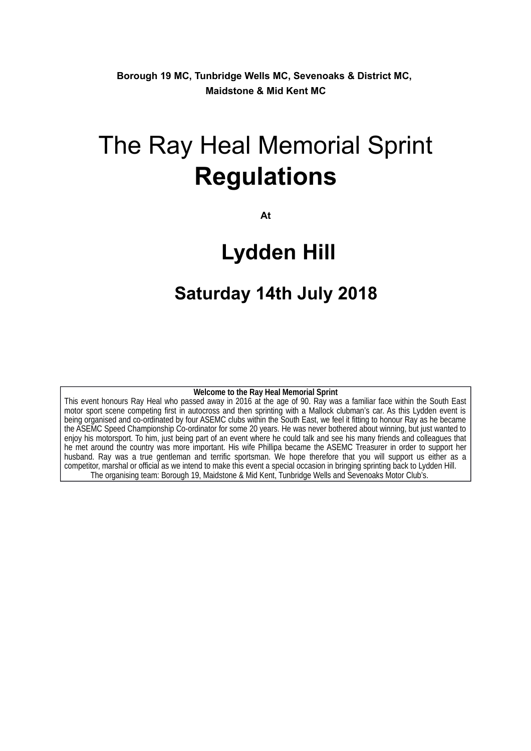**Borough 19 MC, Tunbridge Wells MC, Sevenoaks & District MC, Maidstone & Mid Kent MC**

# The Ray Heal Memorial Sprint **Regulations**

**At**

## **Lydden Hill**

## **Saturday 14th July 2018**

#### **Welcome to the Ray Heal Memorial Sprint**

This event honours Ray Heal who passed away in 2016 at the age of 90. Ray was a familiar face within the South East motor sport scene competing first in autocross and then sprinting with a Mallock clubman's car. As this Lydden event is being organised and co-ordinated by four ASEMC clubs within the South East, we feel it fitting to honour Ray as he became the ASEMC Speed Championship Co-ordinator for some 20 years. He was never bothered about winning, but just wanted to enjoy his motorsport. To him, just being part of an event where he could talk and see his many friends and colleagues that he met around the country was more important. His wife Phillipa became the ASEMC Treasurer in order to support her husband. Ray was a true gentleman and terrific sportsman. We hope therefore that you will support us either as a competitor, marshal or official as we intend to make this event a special occasion in bringing sprinting back to Lydden Hill. The organising team: Borough 19, Maidstone & Mid Kent, Tunbridge Wells and Sevenoaks Motor Club's.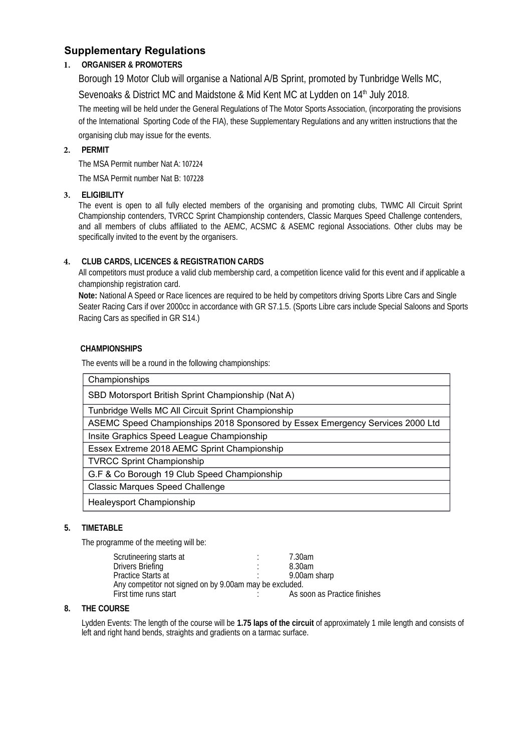### **Supplementary Regulations**

### **1. ORGANISER & PROMOTERS**

Borough 19 Motor Club will organise a National A/B Sprint, promoted by Tunbridge Wells MC,

Sevenoaks & District MC and Maidstone & Mid Kent MC at Lydden on 14<sup>th</sup> July 2018.

The meeting will be held under the General Regulations of The Motor Sports Association, (incorporating the provisions of the International Sporting Code of the FIA), these Supplementary Regulations and any written instructions that the organising club may issue for the events.

#### **2. PERMIT**

The MSA Permit number Nat A: 107224

The MSA Permit number Nat B: 107228

#### **3. ELIGIBILITY**

The event is open to all fully elected members of the organising and promoting clubs, TWMC All Circuit Sprint Championship contenders, TVRCC Sprint Championship contenders, Classic Marques Speed Challenge contenders, and all members of clubs affiliated to the AEMC, ACSMC & ASEMC regional Associations. Other clubs may be specifically invited to the event by the organisers.

#### **4. CLUB CARDS, LICENCES & REGISTRATION CARDS**

All competitors must produce a valid club membership card, a competition licence valid for this event and if applicable a championship registration card.

**Note:** National A Speed or Race licences are required to be held by competitors driving Sports Libre Cars and Single Seater Racing Cars if over 2000cc in accordance with GR S7.1.5. (Sports Libre cars include Special Saloons and Sports Racing Cars as specified in GR S14.)

#### **CHAMPIONSHIPS**

The events will be a round in the following championships:

| Championships                                                                 |
|-------------------------------------------------------------------------------|
| SBD Motorsport British Sprint Championship (Nat A)                            |
| Tunbridge Wells MC All Circuit Sprint Championship                            |
| ASEMC Speed Championships 2018 Sponsored by Essex Emergency Services 2000 Ltd |
| Insite Graphics Speed League Championship                                     |
| Essex Extreme 2018 AEMC Sprint Championship                                   |
| <b>TVRCC Sprint Championship</b>                                              |
| G.F & Co Borough 19 Club Speed Championship                                   |
| <b>Classic Marques Speed Challenge</b>                                        |
| Healeysport Championship                                                      |

#### **5. TIMETABLE**

The programme of the meeting will be:

| Scrutineering starts at                                 |        | 7.30am                       |  |  |
|---------------------------------------------------------|--------|------------------------------|--|--|
| <b>Drivers Briefing</b>                                 | ٠<br>٠ | 8.30am                       |  |  |
| <b>Practice Starts at</b>                               |        | 9.00am sharp                 |  |  |
| Any competitor not signed on by 9.00am may be excluded. |        |                              |  |  |
| First time runs start                                   |        | As soon as Practice finishes |  |  |
|                                                         |        |                              |  |  |

#### **8. THE COURSE**

Lydden Events: The length of the course will be **1.75 laps of the circuit** of approximately 1 mile length and consists of left and right hand bends, straights and gradients on a tarmac surface.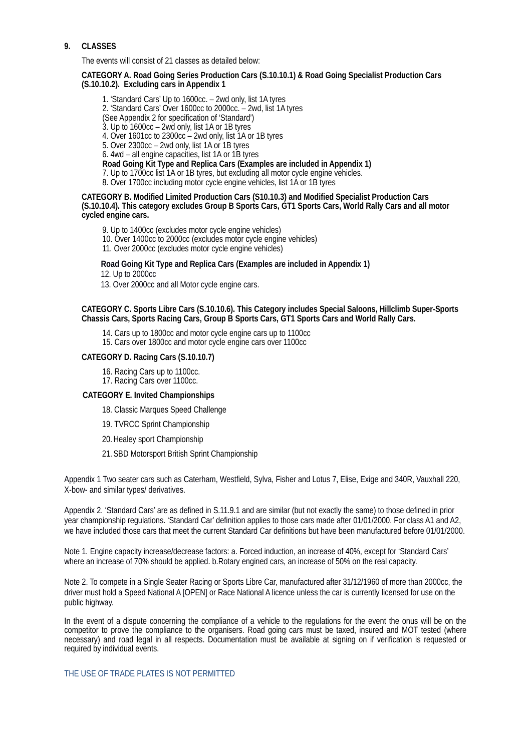#### **9. CLASSES**

The events will consist of 21 classes as detailed below:

#### **CATEGORY A. Road Going Series Production Cars (S.10.10.1) & Road Going Specialist Production Cars (S.10.10.2). Excluding cars in Appendix 1**

1. 'Standard Cars' Up to 1600cc. – 2wd only, list 1A tyres 2. 'Standard Cars' Over 1600cc to 2000cc. – 2wd, list 1A tyres (See Appendix 2 for specification of 'Standard') 3. Up to 1600cc – 2wd only, list 1A or 1B tyres 4. Over 1601cc to 2300cc – 2wd only, list 1A or 1B tyres 5. Over 2300cc – 2wd only, list 1A or 1B tyres 6. 4wd – all engine capacities, list 1A or 1B tyres **Road Going Kit Type and Replica Cars (Examples are included in Appendix 1)** 7. Up to 1700cc list 1A or 1B tyres, but excluding all motor cycle engine vehicles. 8. Over 1700cc including motor cycle engine vehicles, list 1A or 1B tyres

#### **CATEGORY B. Modified Limited Production Cars (S10.10.3) and Modified Specialist Production Cars (S.10.10.4). This category excludes Group B Sports Cars, GT1 Sports Cars, World Rally Cars and all motor cycled engine cars.**

9. Up to 1400cc (excludes motor cycle engine vehicles)

- 10. Over 1400cc to 2000cc (excludes motor cycle engine vehicles)
- 11. Over 2000cc (excludes motor cycle engine vehicles)

#### **Road Going Kit Type and Replica Cars (Examples are included in Appendix 1)**

12. Up to 2000cc

13. Over 2000cc and all Motor cycle engine cars.

#### **CATEGORY C. Sports Libre Cars (S.10.10.6). This Category includes Special Saloons, Hillclimb Super-Sports Chassis Cars, Sports Racing Cars, Group B Sports Cars, GT1 Sports Cars and World Rally Cars.**

14. Cars up to 1800cc and motor cycle engine cars up to 1100cc

15. Cars over 1800cc and motor cycle engine cars over 1100cc

#### **CATEGORY D. Racing Cars (S.10.10.7)**

16. Racing Cars up to 1100cc.

17. Racing Cars over 1100cc.

#### **CATEGORY E. Invited Championships**

18. Classic Marques Speed Challenge

19. TVRCC Sprint Championship

20.Healey sport Championship

21. SBD Motorsport British Sprint Championship

Appendix 1 Two seater cars such as Caterham, Westfield, Sylva, Fisher and Lotus 7, Elise, Exige and 340R, Vauxhall 220, X-bow- and similar types/ derivatives.

Appendix 2. 'Standard Cars' are as defined in S.11.9.1 and are similar (but not exactly the same) to those defined in prior year championship regulations. 'Standard Car' definition applies to those cars made after 01/01/2000. For class A1 and A2, we have included those cars that meet the current Standard Car definitions but have been manufactured before 01/01/2000.

Note 1. Engine capacity increase/decrease factors: a. Forced induction, an increase of 40%, except for 'Standard Cars' where an increase of 70% should be applied. b.Rotary engined cars, an increase of 50% on the real capacity.

Note 2. To compete in a Single Seater Racing or Sports Libre Car, manufactured after 31/12/1960 of more than 2000cc, the driver must hold a Speed National A [OPEN] or Race National A licence unless the car is currently licensed for use on the public highway.

In the event of a dispute concerning the compliance of a vehicle to the regulations for the event the onus will be on the competitor to prove the compliance to the organisers. Road going cars must be taxed, insured and MOT tested (where necessary) and road legal in all respects. Documentation must be available at signing on if verification is requested or required by individual events.

#### THE USE OF TRADE PLATES IS NOT PERMITTED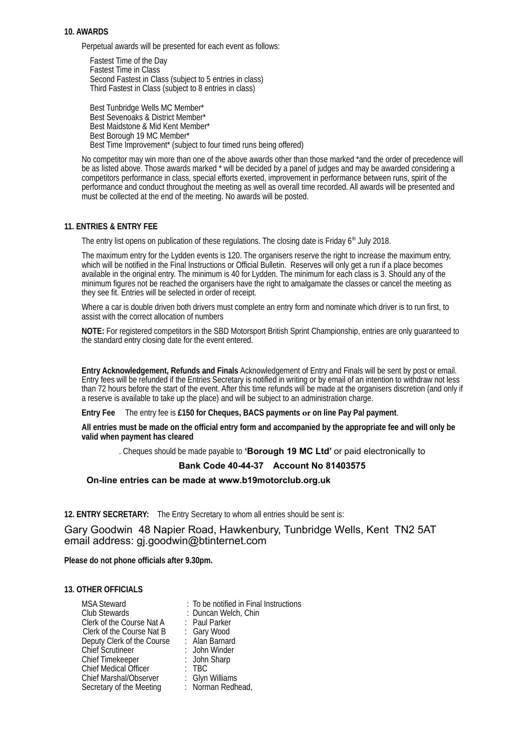#### **10. AWARDS**

Perpetual awards will be presented for each event as follows:

Fastest Time of the Day Fastest Time in Class Second Fastest in Class (subject to 5 entries in class) Third Fastest in Class (subject to 8 entries in class)

Best Tunbridge Wells MC Member\* Best Sevenoaks & District Member\* Best Maidstone & Mid Kent Member\* Best Borough 19 MC Member\* Best Time Improvement\* (subject to four timed runs being offered)

No competitor may win more than one of the above awards other than those marked \*and the order of precedence will be as listed above. Those awards marked \* will be decided by a panel of judges and may be awarded considering a competitors performance in class, special efforts exerted, improvement in performance between runs, spirit of the performance and conduct throughout the meeting as well as overall time recorded. All awards will be presented and must be collected at the end of the meeting. No awards will be posted.

#### **11. ENTRIES & ENTRY FEE**

The entry list opens on publication of these regulations. The closing date is Friday  $6<sup>th</sup>$  July 2018.

The maximum entry for the Lydden events is 120. The organisers reserve the right to increase the maximum entry, which will be notified in the Final Instructions or Official Bulletin. Reserves will only get a run if a place becomes available in the original entry. The minimum is 40 for Lydden. The minimum for each class is 3. Should any of the minimum figures not be reached the organisers have the right to amalgamate the classes or cancel the meeting as they see fit. Entries will be selected in order of receipt.

Where a car is double driven both drivers must complete an entry form and nominate which driver is to run first, to assist with the correct allocation of numbers

**NOTE:** For registered competitors in the SBD Motorsport British Sprint Championship, entries are only guaranteed to the standard entry closing date for the event entered.

**Entry Acknowledgement, Refunds and Finals** Acknowledgement of Entry and Finals will be sent by post or email. Entry fees will be refunded if the Entries Secretary is notified in writing or by email of an intention to withdraw not less than 72 hours before the start of the event. After this time refunds will be made at the organisers discretion (and only if a reserve is available to take up the place) and will be subject to an administration charge.

**Entry Fee** The entry fee is **£150 for Cheques, BACS payments or on line Pay Pal payment**.

**All entries must be made on the official entry form and accompanied by the appropriate fee and will only be valid when payment has cleared**

. Cheques should be made payable to **'Borough 19 MC Ltd'** or paid electronically to

#### **Bank Code 40-44-37 Account No 81403575**

**On-line entries can be made at www.b19motorclub.org.uk**

**12. ENTRY SECRETARY:** The Entry Secretary to whom all entries should be sent is:

Gary Goodwin 48 Napier Road, Hawkenbury, Tunbridge Wells, Kent TN2 5AT email address: gj.goodwin@btinternet.com

**Please do not phone officials after 9.30pm.**

#### **13. OTHER OFFICIALS**

| <b>MSA Steward</b>            | : To be notified in Final Instructions |
|-------------------------------|----------------------------------------|
| Club Stewards                 | : Duncan Welch, Chin                   |
| Clerk of the Course Nat A     | : Paul Parker                          |
| Clerk of the Course Nat B     | : Gary Wood                            |
| Deputy Clerk of the Course    | : Alan Barnard                         |
| <b>Chief Scrutineer</b>       | : John Winder                          |
| <b>Chief Timekeeper</b>       | : John Sharp                           |
| <b>Chief Medical Officer</b>  | : TBC                                  |
| <b>Chief Marshal/Observer</b> | : Glyn Williams                        |
| Secretary of the Meeting      | : Norman Redhead,                      |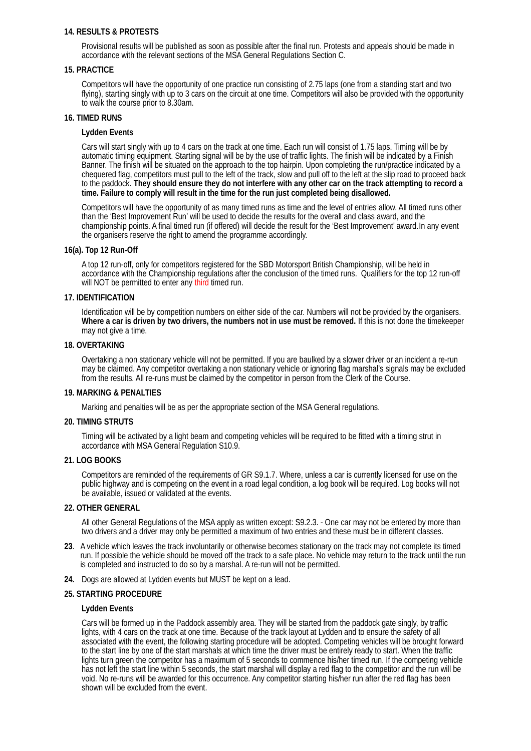#### **14. RESULTS & PROTESTS**

Provisional results will be published as soon as possible after the final run. Protests and appeals should be made in accordance with the relevant sections of the MSA General Regulations Section C.

#### **15. PRACTICE**

Competitors will have the opportunity of one practice run consisting of 2.75 laps (one from a standing start and two flying), starting singly with up to 3 cars on the circuit at one time. Competitors will also be provided with the opportunity to walk the course prior to 8.30am.

#### **16. TIMED RUNS**

#### **Lydden Events**

Cars will start singly with up to 4 cars on the track at one time. Each run will consist of 1.75 laps. Timing will be by automatic timing equipment. Starting signal will be by the use of traffic lights. The finish will be indicated by a Finish Banner. The finish will be situated on the approach to the top hairpin. Upon completing the run/practice indicated by a chequered flag, competitors must pull to the left of the track, slow and pull off to the left at the slip road to proceed back to the paddock. **They should ensure they do not interfere with any other car on the track attempting to record a time. Failure to comply will result in the time for the run just completed being disallowed.** 

Competitors will have the opportunity of as many timed runs as time and the level of entries allow. All timed runs other than the 'Best Improvement Run' will be used to decide the results for the overall and class award, and the championship points. A final timed run (if offered) will decide the result for the 'Best Improvement' award.In any event the organisers reserve the right to amend the programme accordingly.

#### **16(a). Top 12 Run-Off**

A top 12 run-off, only for competitors registered for the SBD Motorsport British Championship, will be held in accordance with the Championship regulations after the conclusion of the timed runs. Qualifiers for the top 12 run-off will NOT be permitted to enter any third timed run.

#### **17. IDENTIFICATION**

Identification will be by competition numbers on either side of the car. Numbers will not be provided by the organisers. **Where a car is driven by two drivers, the numbers not in use must be removed.** If this is not done the timekeeper may not give a time.

#### **18. OVERTAKING**

Overtaking a non stationary vehicle will not be permitted. If you are baulked by a slower driver or an incident a re-run may be claimed. Any competitor overtaking a non stationary vehicle or ignoring flag marshal's signals may be excluded from the results. All re-runs must be claimed by the competitor in person from the Clerk of the Course.

#### **19. MARKING & PENALTIES**

Marking and penalties will be as per the appropriate section of the MSA General regulations.

#### **20. TIMING STRUTS**

Timing will be activated by a light beam and competing vehicles will be required to be fitted with a timing strut in accordance with MSA General Regulation S10.9.

#### **21. LOG BOOKS**

Competitors are reminded of the requirements of GR S9.1.7. Where, unless a car is currently licensed for use on the public highway and is competing on the event in a road legal condition, a log book will be required. Log books will not be available, issued or validated at the events.

#### **22. OTHER GENERAL**

All other General Regulations of the MSA apply as written except: S9.2.3. - One car may not be entered by more than two drivers and a driver may only be permitted a maximum of two entries and these must be in different classes.

- **23**. A vehicle which leaves the track involuntarily or otherwise becomes stationary on the track may not complete its timed run. If possible the vehicle should be moved off the track to a safe place. No vehicle may return to the track until the run is completed and instructed to do so by a marshal. A re-run will not be permitted.
- **24.** Dogs are allowed at Lydden events but MUST be kept on a lead.

#### **25. STARTING PROCEDURE**

#### **Lydden Events**

Cars will be formed up in the Paddock assembly area. They will be started from the paddock gate singly, by traffic lights, with 4 cars on the track at one time. Because of the track layout at Lydden and to ensure the safety of all associated with the event, the following starting procedure will be adopted. Competing vehicles will be brought forward to the start line by one of the start marshals at which time the driver must be entirely ready to start. When the traffic lights turn green the competitor has a maximum of 5 seconds to commence his/her timed run. If the competing vehicle has not left the start line within 5 seconds, the start marshal will display a red flag to the competitor and the run will be void. No re-runs will be awarded for this occurrence. Any competitor starting his/her run after the red flag has been shown will be excluded from the event.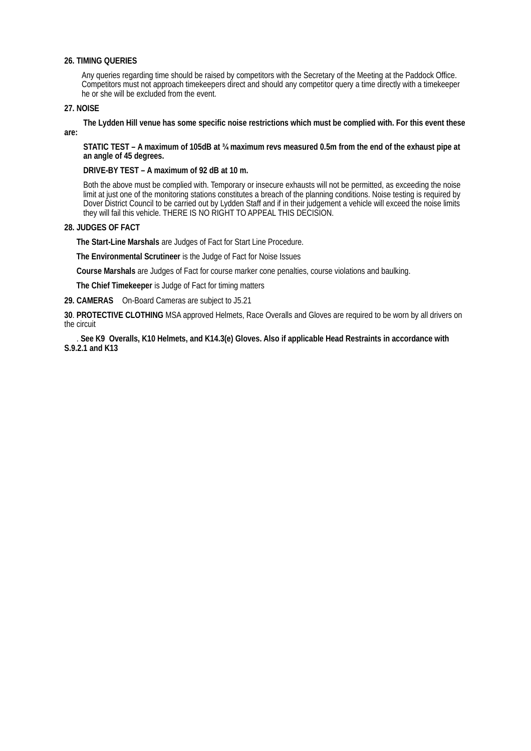#### **26. TIMING QUERIES**

Any queries regarding time should be raised by competitors with the Secretary of the Meeting at the Paddock Office. Competitors must not approach timekeepers direct and should any competitor query a time directly with a timekeeper he or she will be excluded from the event.

#### **27. NOISE**

**are:**

**The Lydden Hill venue has some specific noise restrictions which must be complied with. For this event these**

**STATIC TEST – A maximum of 105dB at ¾ maximum revs measured 0.5m from the end of the exhaust pipe at an angle of 45 degrees.**

#### **DRIVE-BY TEST – A maximum of 92 dB at 10 m.**

Both the above must be complied with. Temporary or insecure exhausts will not be permitted, as exceeding the noise limit at just one of the monitoring stations constitutes a breach of the planning conditions. Noise testing is required by Dover District Council to be carried out by Lydden Staff and if in their judgement a vehicle will exceed the noise limits they will fail this vehicle. THERE IS NO RIGHT TO APPEAL THIS DECISION.

#### **28. JUDGES OF FACT**

**The Start-Line Marshals** are Judges of Fact for Start Line Procedure.

**The Environmental Scrutineer** is the Judge of Fact for Noise Issues

**Course Marshals** are Judges of Fact for course marker cone penalties, course violations and baulking.

**The Chief Timekeeper** is Judge of Fact for timing matters

**29. CAMERAS** On-Board Cameras are subject to J5.21

**30**. **PROTECTIVE CLOTHING** MSA approved Helmets, Race Overalls and Gloves are required to be worn by all drivers on the circuit

. **See K9 Overalls, K10 Helmets, and K14.3(e) Gloves. Also if applicable Head Restraints in accordance with S.9.2.1 and K13**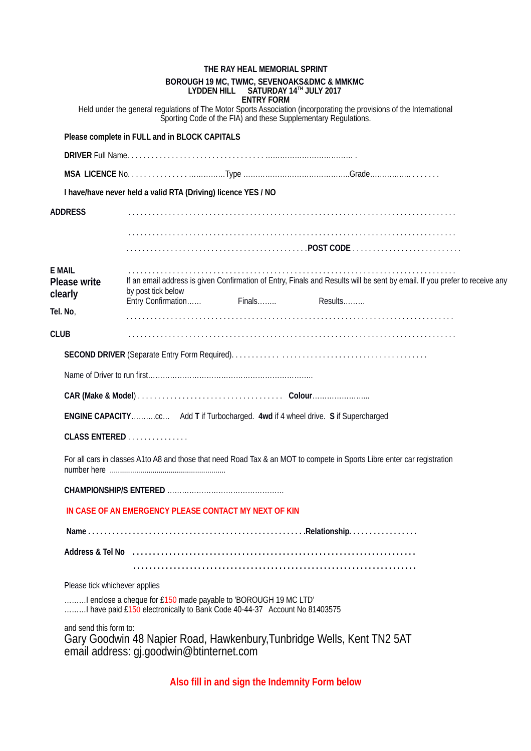|                                                 | THE RAY HEAL MEMORIAL SPRINT<br>BOROUGH 19 MC, TWMC, SEVENOAKS&DMC & MMKMC<br>LYDDEN HILL SATURDAY 14TH JULY 2017<br><b>ENTRY FORM</b>                                                  |
|-------------------------------------------------|-----------------------------------------------------------------------------------------------------------------------------------------------------------------------------------------|
|                                                 | Held under the general regulations of The Motor Sports Association (incorporating the provisions of the International<br>Sporting Code of the FIA) and these Supplementary Regulations. |
|                                                 | Please complete in FULL and in BLOCK CAPITALS                                                                                                                                           |
|                                                 |                                                                                                                                                                                         |
|                                                 |                                                                                                                                                                                         |
|                                                 | I have/have never held a valid RTA (Driving) licence YES / NO                                                                                                                           |
| <b>ADDRESS</b>                                  |                                                                                                                                                                                         |
|                                                 |                                                                                                                                                                                         |
|                                                 |                                                                                                                                                                                         |
| <b>E MAIL</b><br><b>Please write</b><br>clearly | If an email address is given Confirmation of Entry, Finals and Results will be sent by email. If you prefer to receive any<br>by post tick below                                        |
| Tel. No,                                        | Entry Confirmation<br>Finals<br>$Results$                                                                                                                                               |
| <b>CLUB</b>                                     |                                                                                                                                                                                         |
|                                                 |                                                                                                                                                                                         |
|                                                 |                                                                                                                                                                                         |
|                                                 |                                                                                                                                                                                         |
|                                                 |                                                                                                                                                                                         |
|                                                 | <b>ENGINE CAPACITY</b> cc Add T if Turbocharged. 4wd if 4 wheel drive. S if Supercharged                                                                                                |
|                                                 | CLASS ENTERED                                                                                                                                                                           |
|                                                 | For all cars in classes A1to A8 and those that need Road Tax & an MOT to compete in Sports Libre enter car registration                                                                 |
|                                                 |                                                                                                                                                                                         |
|                                                 | IN CASE OF AN EMERGENCY PLEASE CONTACT MY NEXT OF KIN                                                                                                                                   |
|                                                 |                                                                                                                                                                                         |
|                                                 | Address & Tel No medical contracts and the contracts of Address & Tel No medical contracts and Address & Tel No                                                                         |
|                                                 |                                                                                                                                                                                         |
|                                                 | Please tick whichever applies                                                                                                                                                           |
|                                                 | I enclose a cheque for £150 made payable to 'BOROUGH 19 MC LTD'<br>I have paid £150 electronically to Bank Code 40-44-37 Account No 81403575                                            |
| and send this form to:                          | Gary Goodwin 48 Napier Road, Hawkenbury, Tunbridge Wells, Kent TN2 5AT<br>email address: gj.goodwin@btinternet.com                                                                      |
|                                                 |                                                                                                                                                                                         |

**Also fill in and sign the Indemnity Form below**